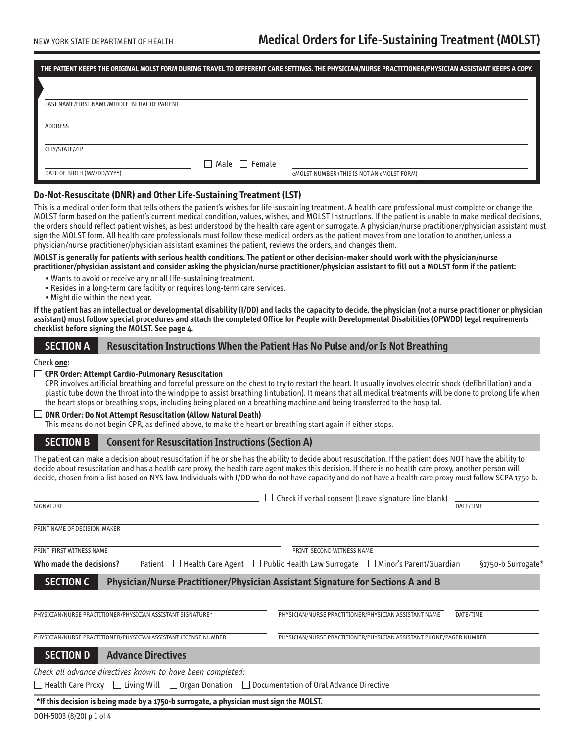|                                                |                           | THE PATIENT KEEPS THE ORIGINAL MOLST FORM DURING TRAVEL TO DIFFERENT CARE SETTINGS. THE PHYSICIAN/NURSE PRACTITIONER/PHYSICIAN ASSISTANT KEEPS A COPY. |
|------------------------------------------------|---------------------------|--------------------------------------------------------------------------------------------------------------------------------------------------------|
|                                                |                           |                                                                                                                                                        |
| LAST NAME/FIRST NAME/MIDDLE INITIAL OF PATIENT |                           |                                                                                                                                                        |
| ADDRESS                                        |                           |                                                                                                                                                        |
| CITY/STATE/ZIP                                 |                           |                                                                                                                                                        |
| DATE OF BIRTH (MM/DD/YYYY)                     | $\Box$ Male $\Box$ Female | eMOLST NUMBER (THIS IS NOT AN eMOLST FORM)                                                                                                             |

# **Do-Not-Resuscitate (DNR) and Other Life-Sustaining Treatment (LST)**

This is a medical order form that tells others the patient's wishes for life-sustaining treatment. A health care professional must complete or change the MOLST form based on the patient's current medical condition, values, wishes, and MOLST Instructions. If the patient is unable to make medical decisions, the orders should reflect patient wishes, as best understood by the health care agent or surrogate. A physician/nurse practitioner/physician assistant must sign the MOLST form. All health care professionals must follow these medical orders as the patient moves from one location to another, unless a physician/nurse practitioner/physician assistant examines the patient, reviews the orders, and changes them.

### **MOLST is generally for patients with serious health conditions. The patient or other decision-maker should work with the physician/nurse practitioner/physician assistant and consider asking the physician/nurse practitioner/physician assistant to fill out a MOLST form if the patient:**

- Wants to avoid or receive any or all life-sustaining treatment.
- Resides in a long-term care facility or requires long-term care services.
- Might die within the next year.

**If the patient has an intellectual or developmental disability (I/DD) and lacks the capacity to decide, the physician (not a nurse practitioner or physician assistant) must follow special procedures and attach the completed Office for People with Developmental Disabilities (OPWDD) legal requirements checklist before signing the MOLST. See page 4.**

#### **SECTION A Resuscitation Instructions When the Patient Has No Pulse and/or Is Not Breathing**

### Check **one:**

## **CPR Order: Attempt Cardio-Pulmonary Resuscitation**

CPR involves artificial breathing and forceful pressure on the chest to try to restart the heart. It usually involves electric shock (defibrillation) and a plastic tube down the throat into the windpipe to assist breathing (intubation). It means that all medical treatments will be done to prolong life when the heart stops or breathing stops, including being placed on a breathing machine and being transferred to the hospital.

## **DNR Order: Do Not Attempt Resuscitation (Allow Natural Death)**

This means do not begin CPR, as defined above, to make the heart or breathing start again if either stops.

#### **SECTION B Consent for Resuscitation Instructions (Section A)**

The patient can make a decision about resuscitation if he or she has the ability to decide about resuscitation. If the patient does NOT have the ability to decide about resuscitation and has a health care proxy, the health care agent makes this decision. If there is no health care proxy, another person will decide, chosen from a list based on NYS law. Individuals with I/DD who do not have capacity and do not have a health care proxy must follow SCPA 1750-b.

|                                                                                                                                    | $\Box$ Check if verbal consent (Leave signature line blank)                     |                           |
|------------------------------------------------------------------------------------------------------------------------------------|---------------------------------------------------------------------------------|---------------------------|
| SIGNATURE                                                                                                                          |                                                                                 | DATE/TIME                 |
| PRINT NAME OF DECISION-MAKER                                                                                                       |                                                                                 |                           |
| PRINT FIRST WITNESS NAME                                                                                                           | PRINT SECOND WITNESS NAME                                                       |                           |
| Who made the decisions? $\Box$ Patient $\Box$ Health Care Agent $\Box$ Public Health Law Surrogate $\Box$ Minor's Parent/Guardian  |                                                                                 | $\Box$ §1750-b Surrogate* |
| <b>SECTION C</b>                                                                                                                   | Physician/Nurse Practitioner/Physician Assistant Signature for Sections A and B |                           |
|                                                                                                                                    |                                                                                 |                           |
| PHYSICIAN/NURSE PRACTITIONER/PHYSICIAN ASSISTANT SIGNATURE*                                                                        | PHYSICIAN/NURSE PRACTITIONER/PHYSICIAN ASSISTANT NAME                           | DATE/TIME                 |
| PHYSICIAN/NURSE PRACTITIONER/PHYSICIAN ASSISTANT LICENSE NUMBER                                                                    | PHYSICIAN/NURSE PRACTITIONER/PHYSICIAN ASSISTANT PHONE/PAGER NUMBER             |                           |
| <b>SECTION D</b><br><b>Advance Directives</b>                                                                                      |                                                                                 |                           |
| Check all advance directives known to have been completed:                                                                         |                                                                                 |                           |
| $\Box$ Health Care Proxy $\quad \Box$ Living Will $\quad \Box$ Organ Donation $\quad \Box$ Documentation of Oral Advance Directive |                                                                                 |                           |
| *If this decision is being made by a 1750-b surrogate, a physician must sign the MOLST.                                            |                                                                                 |                           |

DOH-5003 (8/20) p 1 of 4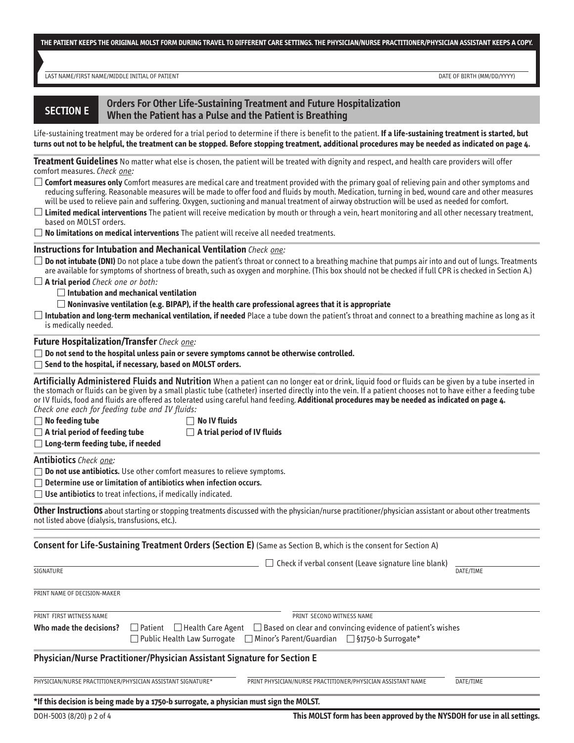LAST NAME/FIRST NAME/MIDDLE INITIAL OF PATIENT **EXECUTES** AND CONTROLLED THE OF BIRTH (MM/DD/YYYY)

| <b>SECTION E</b> |  |
|------------------|--|
|                  |  |

# **Orders For Other Life-Sustaining Treatment and Future Hospitalization When the Patient has a Pulse and the Patient is Breathing**

Life-sustaining treatment may be ordered for a trial period to determine if there is benefit to the patient. **If a life-sustaining treatment is started, but turns out not to be helpful, the treatment can be stopped. Before stopping treatment, additional procedures may be needed as indicated on page 4.**

**Treatment Guidelines** No matter what else is chosen, the patient will be treated with dignity and respect, and health care providers will offer comfort measures. *Check one:*

- □ **Comfort measures only** Comfort measures are medical care and treatment provided with the primary goal of relieving pain and other symptoms and reducing suffering. Reasonable measures will be made to offer food and fluids by mouth. Medication, turning in bed, wound care and other measures will be used to relieve pain and suffering. Oxygen, suctioning and manual treatment of airway obstruction will be used as needed for comfort.
- **Limited medical interventions** The patient will receive medication by mouth or through a vein, heart monitoring and all other necessary treatment, based on MOLST orders.

**No limitations on medical interventions** The patient will receive all needed treatments.

### **Instructions for Intubation and Mechanical Ventilation** *Check one:*

□ **Do not intubate (DNI)** Do not place a tube down the patient's throat or connect to a breathing machine that pumps air into and out of lungs. Treatments are available for symptoms of shortness of breath, such as oxygen and morphine. (This box should not be checked if full CPR is checked in Section A.)

**A trial period** *Check one or both:*

**Intubation and mechanical ventilation**

**Noninvasive ventilation (e.g. BIPAP), if the health care professional agrees that it is appropriate**

**Intubation and long-term mechanical ventilation, if needed** Place a tube down the patient's throat and connect to a breathing machine as long as it is medically needed.

**Future Hospitalization/Transfer** *Check one:*

```
Do not send to the hospital unless pain or severe symptoms cannot be otherwise controlled.
```
**Send to the hospital, if necessary, based on MOLST orders.**

**Artificially Administered Fluids and Nutrition** When a patient can no longer eat or drink, liquid food or fluids can be given by a tube inserted in the stomach or fluids can be given by a small plastic tube (catheter) inserted directly into the vein. If a patient chooses not to have either a feeding tube or IV fluids, food and fluids are offered as tolerated using careful hand feeding. **Additional procedures may be needed as indicated on page 4.**  *Check one each for feeding tube and IV fluids:*

**No feeding tube No IV fluids**

**A trial period of feeding tube A trial period of IV fluids** 

**Long-term feeding tube, if needed**

**Antibiotics** *Check one:*

**Do not use antibiotics.** Use other comfort measures to relieve symptoms.

**Determine use or limitation of antibiotics when infection occurs.** 

**Use antibiotics** to treat infections, if medically indicated.

**Other Instructions** about starting or stopping treatments discussed with the physician/nurse practitioner/physician assistant or about other treatments not listed above (dialysis, transfusions, etc.).

# **Consent for Life-Sustaining Treatment Orders (Section E)** (Same as Section B, which is the consent for Section A)

|                              |                                                                                                                                                                                                          | Check if verbal consent (Leave signature line blank)        |           |
|------------------------------|----------------------------------------------------------------------------------------------------------------------------------------------------------------------------------------------------------|-------------------------------------------------------------|-----------|
| SIGNATURE                    |                                                                                                                                                                                                          |                                                             | DATE/TIME |
| PRINT NAME OF DECISION-MAKER |                                                                                                                                                                                                          |                                                             |           |
| PRINT FIRST WITNESS NAME     |                                                                                                                                                                                                          | PRINT SECOND WITNESS NAME                                   |           |
| Who made the decisions?      | $\Box$ Patient $\Box$ Health Care Agent $\Box$ Based on clear and convincing evidence of patient's wishes<br>$\Box$ Public Health Law Surrogate $\Box$ Minor's Parent/Guardian $\Box$ §1750-b Surrogate* |                                                             |           |
|                              | Physician/Nurse Practitioner/Physician Assistant Signature for Section E                                                                                                                                 |                                                             |           |
|                              | PHYSICIAN/NURSE PRACTITIONER/PHYSICIAN ASSISTANT SIGNATURE*                                                                                                                                              | PRINT PHYSICIAN/NURSE PRACTITIONER/PHYSICIAN ASSISTANT NAME | DATE/TIME |
|                              | *If this decision is being made by a 1750-b surrogate, a physician must sign the MOLST.                                                                                                                  |                                                             |           |

**This MOLST form has been approved by the NYSDOH for use in all settings.**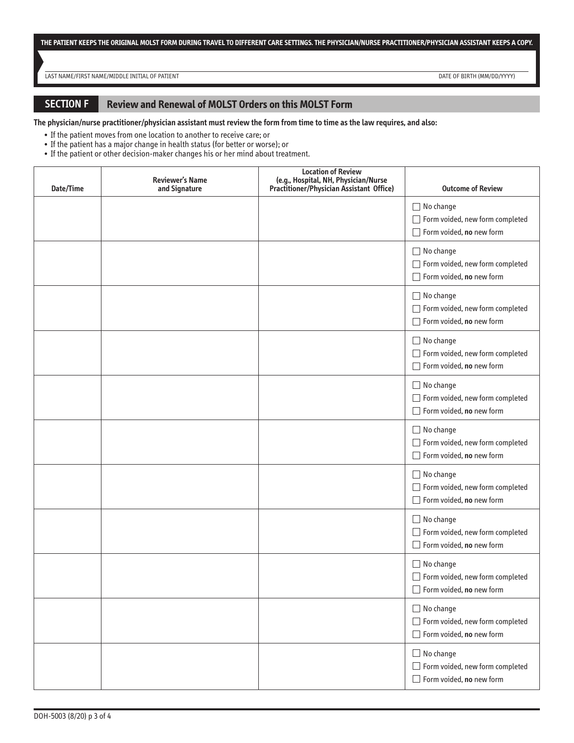| THE PATIENT KEEPS THE ORIGINAL MOLST FORM DURING TRAVEL TO DIFFERENT CARE SETTINGS. THE PHYSICIAN/NURSE PRACTITIONER/PHYSICIAN ASSISTANT KEEPS A COPY. |  |
|--------------------------------------------------------------------------------------------------------------------------------------------------------|--|
|                                                                                                                                                        |  |

LAST NAME/FIRST NAME/MIDDLE INITIAL OF PATIENT **EXECUTES** ON THE OF BIRTH (MM/DD/YYYY)

# **SECTION F Review and Renewal of MOLST Orders on this MOLST Form**

**The physician/nurse practitioner/physician assistant must review the form from time to time as the law requires, and also:**

- If the patient moves from one location to another to receive care; or
- If the patient has a major change in health status (for better or worse); or
- If the patient or other decision-maker changes his or her mind about treatment.

| Date/Time | <b>Reviewer's Name</b><br>and Signature | <b>Location of Review</b><br>(e.g., Hospital, NH, Physician/Nurse<br>Practitioner/Physician Assistant Office) | <b>Outcome of Review</b>                                                                      |
|-----------|-----------------------------------------|---------------------------------------------------------------------------------------------------------------|-----------------------------------------------------------------------------------------------|
|           |                                         |                                                                                                               | $\Box$ No change<br>Form voided, new form completed<br>$\Box$ Form voided, no new form        |
|           |                                         |                                                                                                               | $\Box$ No change<br>Form voided, new form completed<br>$\Box$ Form voided, no new form        |
|           |                                         |                                                                                                               | $\Box$ No change<br>Form voided, new form completed<br>$\Box$ Form voided, no new form        |
|           |                                         |                                                                                                               | $\Box$ No change<br>$\Box$ Form voided, new form completed<br>$\Box$ Form voided, no new form |
|           |                                         |                                                                                                               | $\Box$ No change<br>$\Box$ Form voided, new form completed<br>$\Box$ Form voided, no new form |
|           |                                         |                                                                                                               | $\Box$ No change<br>$\Box$ Form voided, new form completed<br>$\Box$ Form voided, no new form |
|           |                                         |                                                                                                               | $\Box$ No change<br>$\Box$ Form voided, new form completed<br>$\Box$ Form voided, no new form |
|           |                                         |                                                                                                               | $\Box$ No change<br>$\Box$ Form voided, new form completed<br>$\Box$ Form voided, no new form |
|           |                                         |                                                                                                               | $\Box$ No change<br>$\Box$ Form voided, new form completed<br>$\Box$ Form voided, no new form |
|           |                                         |                                                                                                               | $\Box$ No change<br>Form voided, new form completed<br>$\Box$ Form voided, no new form        |
|           |                                         |                                                                                                               | $\Box$ No change<br>Form voided, new form completed<br>$\Box$ Form voided, no new form        |